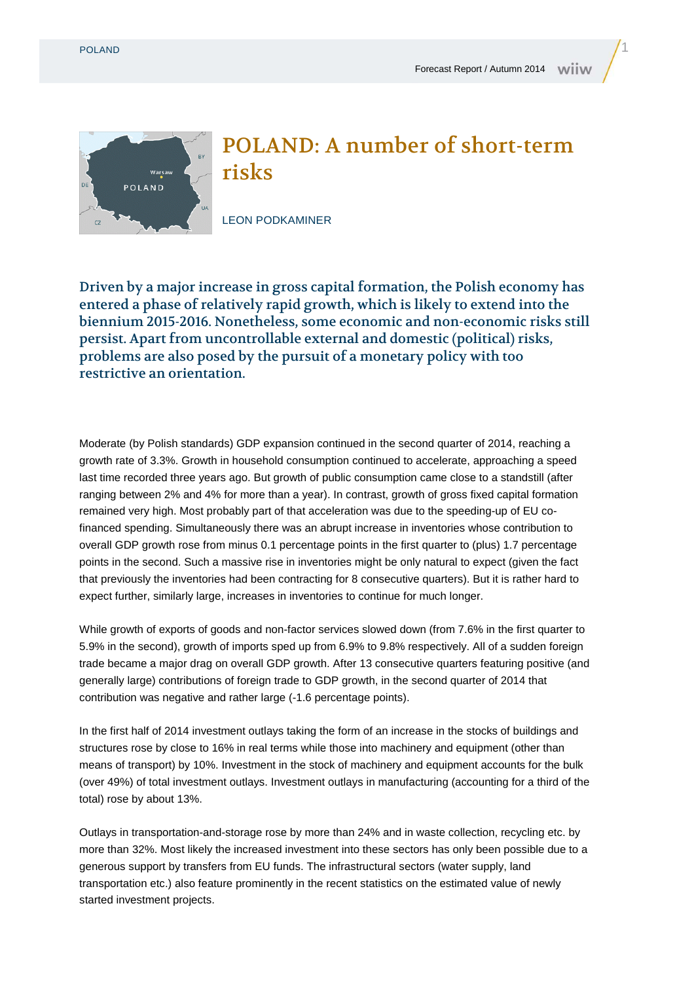Warsav **POLAND** 



## POLAND: A number of short-term risks

LEON PODKAMINER

Driven by a major increase in gross capital formation, the Polish economy has entered a phase of relatively rapid growth, which is likely to extend into the biennium 2015-2016. Nonetheless, some economic and non-economic risks still persist. Apart from uncontrollable external and domestic (political) risks, problems are also posed by the pursuit of a monetary policy with too restrictive an orientation.

Moderate (by Polish standards) GDP expansion continued in the second quarter of 2014, reaching a growth rate of 3.3%. Growth in household consumption continued to accelerate, approaching a speed last time recorded three years ago. But growth of public consumption came close to a standstill (after ranging between 2% and 4% for more than a year). In contrast, growth of gross fixed capital formation remained very high. Most probably part of that acceleration was due to the speeding-up of EU cofinanced spending. Simultaneously there was an abrupt increase in inventories whose contribution to overall GDP growth rose from minus 0.1 percentage points in the first quarter to (plus) 1.7 percentage points in the second. Such a massive rise in inventories might be only natural to expect (given the fact that previously the inventories had been contracting for 8 consecutive quarters). But it is rather hard to expect further, similarly large, increases in inventories to continue for much longer.

While growth of exports of goods and non-factor services slowed down (from 7.6% in the first quarter to 5.9% in the second), growth of imports sped up from 6.9% to 9.8% respectively. All of a sudden foreign trade became a major drag on overall GDP growth. After 13 consecutive quarters featuring positive (and generally large) contributions of foreign trade to GDP growth, in the second quarter of 2014 that contribution was negative and rather large (-1.6 percentage points).

In the first half of 2014 investment outlays taking the form of an increase in the stocks of buildings and structures rose by close to 16% in real terms while those into machinery and equipment (other than means of transport) by 10%. Investment in the stock of machinery and equipment accounts for the bulk (over 49%) of total investment outlays. Investment outlays in manufacturing (accounting for a third of the total) rose by about 13%.

Outlays in transportation-and-storage rose by more than 24% and in waste collection, recycling etc. by more than 32%. Most likely the increased investment into these sectors has only been possible due to a generous support by transfers from EU funds. The infrastructural sectors (water supply, land transportation etc.) also feature prominently in the recent statistics on the estimated value of newly started investment projects.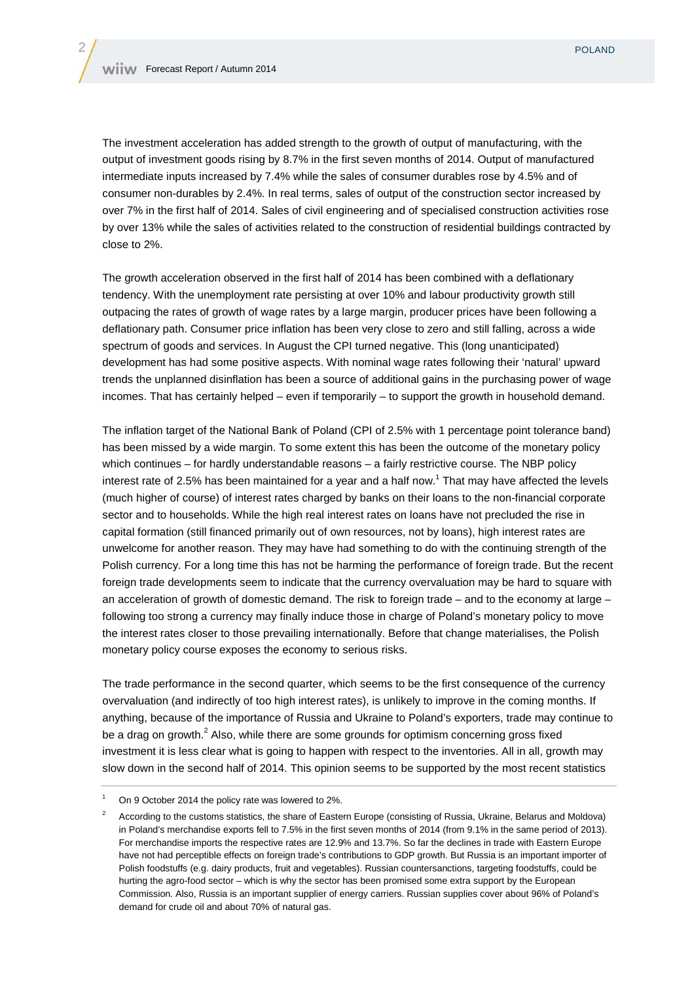The investment acceleration has added strength to the growth of output of manufacturing, with the output of investment goods rising by 8.7% in the first seven months of 2014. Output of manufactured intermediate inputs increased by 7.4% while the sales of consumer durables rose by 4.5% and of consumer non-durables by 2.4%. In real terms, sales of output of the construction sector increased by over 7% in the first half of 2014. Sales of civil engineering and of specialised construction activities rose by over 13% while the sales of activities related to the construction of residential buildings contracted by close to 2%.

The growth acceleration observed in the first half of 2014 has been combined with a deflationary tendency. With the unemployment rate persisting at over 10% and labour productivity growth still outpacing the rates of growth of wage rates by a large margin, producer prices have been following a deflationary path. Consumer price inflation has been very close to zero and still falling, across a wide spectrum of goods and services. In August the CPI turned negative. This (long unanticipated) development has had some positive aspects. With nominal wage rates following their 'natural' upward trends the unplanned disinflation has been a source of additional gains in the purchasing power of wage incomes. That has certainly helped – even if temporarily – to support the growth in household demand.

The inflation target of the National Bank of Poland (CPI of 2.5% with 1 percentage point tolerance band) has been missed by a wide margin. To some extent this has been the outcome of the monetary policy which continues – for hardly understandable reasons – a fairly restrictive course. The NBP policy interest rate of 2.5% has been maintained for a year and a half now.<sup>1</sup> That may have affected the levels (much higher of course) of interest rates charged by banks on their loans to the non-financial corporate sector and to households. While the high real interest rates on loans have not precluded the rise in capital formation (still financed primarily out of own resources, not by loans), high interest rates are unwelcome for another reason. They may have had something to do with the continuing strength of the Polish currency. For a long time this has not be harming the performance of foreign trade. But the recent foreign trade developments seem to indicate that the currency overvaluation may be hard to square with an acceleration of growth of domestic demand. The risk to foreign trade – and to the economy at large – following too strong a currency may finally induce those in charge of Poland's monetary policy to move the interest rates closer to those prevailing internationally. Before that change materialises, the Polish monetary policy course exposes the economy to serious risks.

The trade performance in the second quarter, which seems to be the first consequence of the currency overvaluation (and indirectly of too high interest rates), is unlikely to improve in the coming months. If anything, because of the importance of Russia and Ukraine to Poland's exporters, trade may continue to be a drag on growth.<sup>2</sup> Also, while there are some grounds for optimism concerning gross fixed investment it is less clear what is going to happen with respect to the inventories. All in all, growth may slow down in the second half of 2014. This opinion seems to be supported by the most recent statistics

<sup>1</sup> On 9 October 2014 the policy rate was lowered to 2%.

<sup>2</sup> According to the customs statistics, the share of Eastern Europe (consisting of Russia, Ukraine, Belarus and Moldova) in Poland's merchandise exports fell to 7.5% in the first seven months of 2014 (from 9.1% in the same period of 2013). For merchandise imports the respective rates are 12.9% and 13.7%. So far the declines in trade with Eastern Europe have not had perceptible effects on foreign trade's contributions to GDP growth. But Russia is an important importer of Polish foodstuffs (e.g. dairy products, fruit and vegetables). Russian countersanctions, targeting foodstuffs, could be hurting the agro-food sector – which is why the sector has been promised some extra support by the European Commission. Also, Russia is an important supplier of energy carriers. Russian supplies cover about 96% of Poland's demand for crude oil and about 70% of natural gas.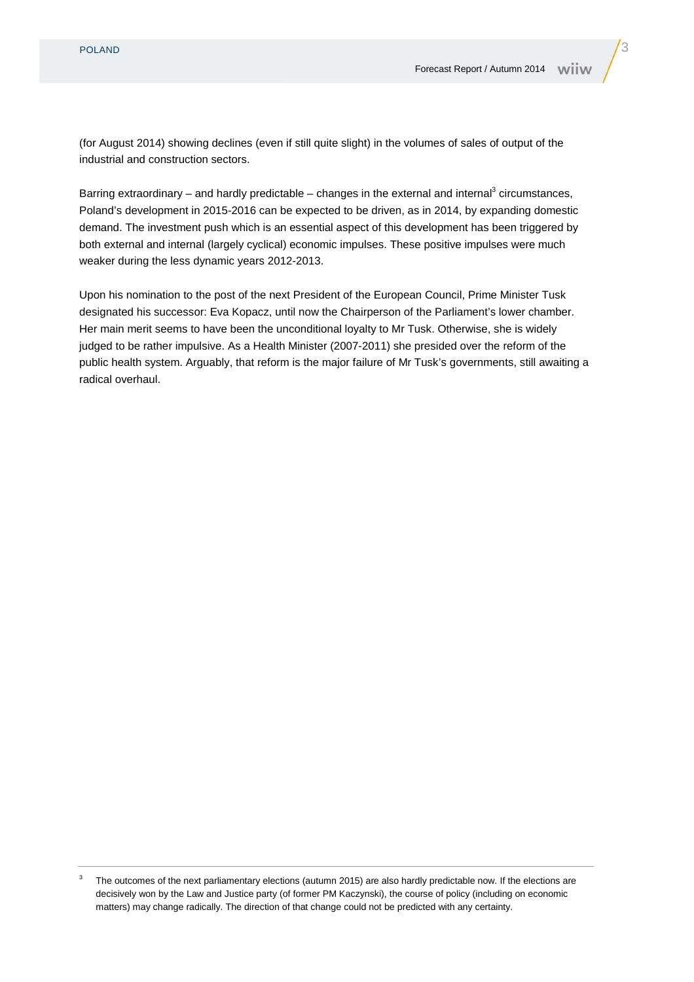(for August 2014) showing declines (even if still quite slight) in the volumes of sales of output of the industrial and construction sectors.

Barring extraordinary – and hardly predictable – changes in the external and internal<sup>3</sup> circumstances, Poland's development in 2015-2016 can be expected to be driven, as in 2014, by expanding domestic demand. The investment push which is an essential aspect of this development has been triggered by both external and internal (largely cyclical) economic impulses. These positive impulses were much weaker during the less dynamic years 2012-2013.

Upon his nomination to the post of the next President of the European Council, Prime Minister Tusk designated his successor: Eva Kopacz, until now the Chairperson of the Parliament's lower chamber. Her main merit seems to have been the unconditional loyalty to Mr Tusk. Otherwise, she is widely judged to be rather impulsive. As a Health Minister (2007-2011) she presided over the reform of the public health system. Arguably, that reform is the major failure of Mr Tusk's governments, still awaiting a radical overhaul.

<sup>3</sup> The outcomes of the next parliamentary elections (autumn 2015) are also hardly predictable now. If the elections are decisively won by the Law and Justice party (of former PM Kaczynski), the course of policy (including on economic matters) may change radically. The direction of that change could not be predicted with any certainty.